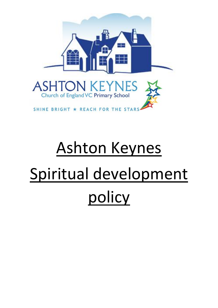

# Ashton Keynes Spiritual development policy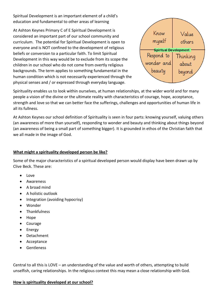Spiritual Development is an important element of a child's education and fundamental to other areas of learning

At Ashton Keynes Primary C of E Spiritual Development is considered an important part of our school community and curriculum. The potential for Spiritual Development is open to everyone and is NOT confined to the development of religious beliefs or conversion to a particular faith. To limit Spiritual Development in this way would be to exclude from its scope the children in our school who do not come from overtly religious backgrounds. The term applies to something fundamental in the human condition which is not necessarily experienced through the physical senses and / or expressed through everyday language.



Spirituality enables us to look within ourselves, at human relationships, at the wider world and for many people a vision of the divine or the ultimate reality with characteristics of courage, hope, acceptance, strength and love so that we can better face the sufferings, challenges and opportunities of human life in all its fullness.

At Ashton Keynes our school definition of Spirituality is seen in four parts: knowing yourself, valuing others (an awareness of more than yourself), responding to wonder and beauty and thinking about things beyond (an awareness of being a small part of something bigger). It is grounded in ethos of the Christian faith that we all made in the image of God.

## **What might a spirituality developed person be like?**

Some of the major characteristics of a spiritual developed person would display have been drawn up by Clive Beck. These are:

- Love
- Awareness
- A broad mind
- A holistic outlook
- Integration (avoiding hypocrisy)
- Wonder
- Thankfulness
- Hope
- Courage
- Energy
- Detachment
- Acceptance
- Gentleness

Central to all this is LOVE – an understanding of the value and worth of others, attempting to build unselfish, caring relationships. In the religious context this may mean a close relationship with God.

# **How is spirituality developed at our school?**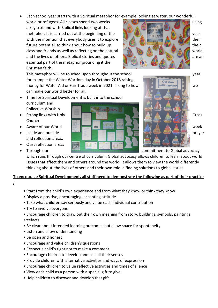Each school year starts with a Spiritual metaphor for example looking at water, our wonderful

world or refugees. All classes spend two weeks using using a key text and with Biblical links looking at that metaphor. It is carried out at the beginning of the  $\mathbb{Z}$  year year year. with the intention that everybody uses it to explore the state of their their future potential, to think about how to build up their their their their class and friends as well as reflecting on the natural world world and the lives of others. Biblical stories and quotes and strong are an analyzed are an essential part of the metaphor grounding it the Christian faith.

This metaphor will be touched upon throughout the school year year for example the Water Warriors day in October 2018 raising money for Water Aid or Fair Trade week in 2021 linking to how we want is all squits to gether we can make our world better for all.

- Time for Spiritual Development is built into the school curriculum and Collective Worship.
- Church
- 
- and reflection areas.
- Class reflection areas
- 





• Through our commitment to Global advocacy

which runs through our centre of curriculum. Global advocacy allows children to learn about world issues that affect them and others around the world. It allows them to view the world differently thinking about the lives of others and their own role in finding solutions to global issues.

# **To encourage Spiritual Development, all staff need to demonstrate the following as part of their practice**

- **:**
- Start from the child's own experience and from what they know or think they know
- •Display a positive, encouraging, accepting attitude
- Take what children say seriously and value each individual contribution
- Try to involve everyone
- Encourage children to draw out their own meaning from story, buildings, symbols, paintings, artefacts
- Be clear about intended learning outcomes but allow space for spontaneity
- Listen and show understanding
- Be open and honest
- Encourage and value children's questions
- Respect a child's right not to make a comment
- Encourage children to develop and use all their senses
- Provide children with alternative activities and ways of expression
- Encourage children to value reflective activities and times of silence
- View each child as a person with a special gift to give
- •Help children to discover and develop that gift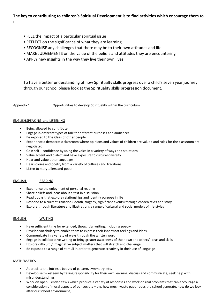## **The key to contributing to children's Spiritual Development is to find activities which encourage them to**

**:**

- FEEL the impact of a particular spiritual issue
- REFLECT on the significance of what they are learning
- RECOGNISE any challenges that there may be to their own attitudes and life
- MAKE JUDGEMENTS on the value of the beliefs and attitudes they are encountering
- •APPLY new insights in the way they live their own lives

To have a better understanding of how Spiritualty skills progress over a child's seven year journey through our school please look at the Spirituality skills progression document.

Appendix 1 Opportunities to develop Spirituality within the curriculum

## ENGLISHSPEAKING and LISTENING

- Being allowed to contribute
- Engage in different types of talk for different purposes and audiences
- Be exposed to the ideas of other people
- Experience a democratic classroom where opinions and values of children are valued and rules for the classroom are negotiated
- Gain self confidence by using the voice in a variety of ways and situations
- Value accent and dialect and have exposure to cultural diversity
- Hear and value other languages
- Hear stories and poetry from a variety of cultures and traditions
- **EXECUTE:** Listen to storytellers and poets

## ENGLISH READING

- Experience the enjoyment of personal reading
- Share beliefs and ideas about a text in discussion
- Read books that explore relationships and identify purpose in life
- Respond to a current situation ( death, tragedy, significant events) through chosen texts and story
- Explore through literature and illustrations a range of cultural and social models of life-styles

## ENGLISH WRITING

- Have sufficient time for extended, thoughtful writing, including poetry
- Develop vocabulary to enable them to express their innermost feelings and ideas
- Communicate in a variety of ways through the written word
- Engage in collaborative writing to bring greater awareness of their own and others' ideas and skills
- Explore difficult / imaginative subject matters that will stretch and challenge
- Be exposed to a range of stimuli in order to generate creativity in their use of language

## **MATHEMATICS**

- Appreciate the intrinsic beauty of pattern, symmetry, etc.
- Develop self esteem by taking responsibility for their own learning, discuss and communicate, seek help with misunderstandings
- Work on open ended tasks which produce a variety of responses and work on real problems that can encourage a consideration of moral aspects of our society  $-e.g.$  how much waste paper does the school generate, how do we look after our school environment,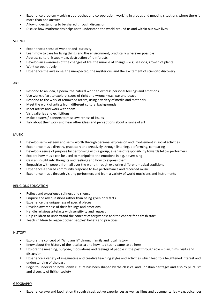- Experience problem solving approaches and co-operation, working in groups and meeting situations where there is more than one answer
- Allow understanding to be shared through discussion
- Discuss how mathematics helps us to understand the world around us and within our own lives

## SCIENCE

- Experience a sense of wonder and curiosity
- Learn how to care for living things and the environment, practically wherever possible
- Address cultural issues e.g. destruction of rainforests
- Develop an awareness of the changes of life, the miracle of change e.g. seasons, growth of plants
- **Work co-operatively**
- Experience the awesome, the unexpected, the mysterious and the excitement of scientific discovery

## ART

- Respond to an idea, a poem, the natural world to express personal feelings and emotions
- Use works of art to explore issues of right and wrong e.g. war and peace
- Respond to the work of renowned artists, using a variety of media and materials
- Meet the work of artists from different cultural backgrounds
- Meet artists and work with them
- Visit galleries and exhibitions
- Make posters / banners to raise awareness of issues
- **Talk about their work and hear other ideas and perceptions about a range of art**

## MUSIC

- Develop self esteem and self worth through personal expression and involvement in social activities
- Experience music directly, practically and creatively through listening, performing, comparing
- Develop a sense of purpose by performing with a group, a sense of responsibility towards fellow performers
- Explore how music can be used to manipulate the emotions in e.g. advertising
- Gain an insight into thoughts and feelings and how to express them
- Empathise with people from all over the world through exploring different musical traditions
- Experience a shared community response to live performance and recorded music
- Experience music through visiting performers and from a variety of world musicians and instruments

## RELIGIOUS EDUCATION

- Reflect and experience stillness and silence
- **Enquire and ask questions rather than being given only facts**
- Experience the uniqueness of special places
- Develop awareness of their feelings and emotions
- Handle religious artefacts with sensitivity and respect
- Help children to understand the concept of forgiveness and the chance for a fresh start
- **EXEC** Teach children to respect other peoples' beliefs and practices

## **HISTORY**

- Explore the concept of "Who am I?" through family and local history
- Know about the history of the local area and how its citizens came to be here
- Explore the meaning, purpose, motivations and feelings of people in the past through role play, films, visits and discussion
- Experience a variety of imaginative and creative teaching styles and activities which lead to a heightened interest and understanding of the past
- Begin to understand how British culture has been shaped by the classical and Christian heritages and also by pluralism and diversity of British society

## GEOGRAPHY

Experience awe and fascination through visual, active experiences as well as films and documentaries – e.g. volcanoes